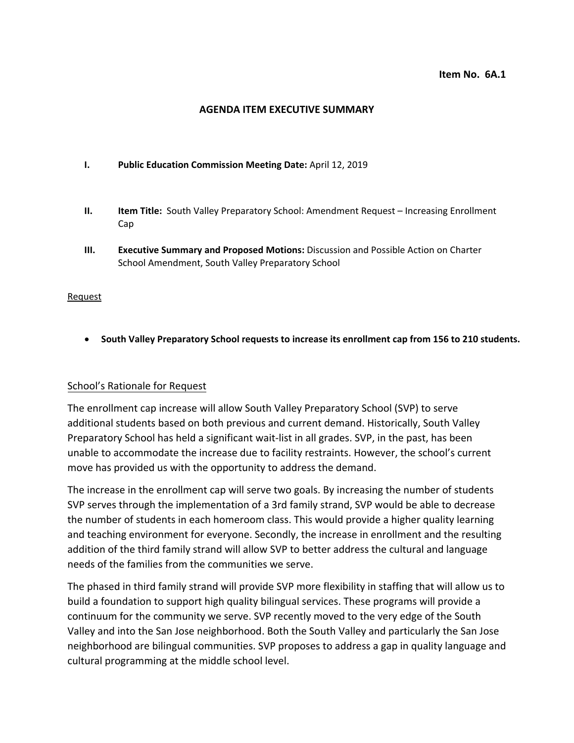### **Item No. 6A.1**

### **AGENDA ITEM EXECUTIVE SUMMARY**

### **I. Public Education Commission Meeting Date:** April 12, 2019

- **II. Item Title:** South Valley Preparatory School: Amendment Request Increasing Enrollment Cap
- **III. Executive Summary and Proposed Motions:** Discussion and Possible Action on Charter School Amendment, South Valley Preparatory School

### Request

• **South Valley Preparatory School requests to increase its enrollment cap from 156 to 210 students.**

## School's Rationale for Request

The enrollment cap increase will allow South Valley Preparatory School (SVP) to serve additional students based on both previous and current demand. Historically, South Valley Preparatory School has held a significant wait-list in all grades. SVP, in the past, has been unable to accommodate the increase due to facility restraints. However, the school's current move has provided us with the opportunity to address the demand.

The increase in the enrollment cap will serve two goals. By increasing the number of students SVP serves through the implementation of a 3rd family strand, SVP would be able to decrease the number of students in each homeroom class. This would provide a higher quality learning and teaching environment for everyone. Secondly, the increase in enrollment and the resulting addition of the third family strand will allow SVP to better address the cultural and language needs of the families from the communities we serve.

The phased in third family strand will provide SVP more flexibility in staffing that will allow us to build a foundation to support high quality bilingual services. These programs will provide a continuum for the community we serve. SVP recently moved to the very edge of the South Valley and into the San Jose neighborhood. Both the South Valley and particularly the San Jose neighborhood are bilingual communities. SVP proposes to address a gap in quality language and cultural programming at the middle school level.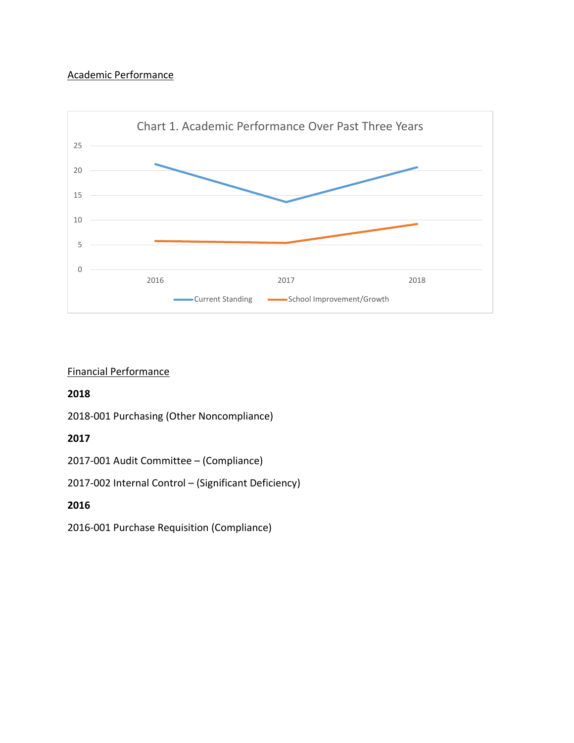# Academic Performance



## Financial Performance

# **2018**

2018-001 Purchasing (Other Noncompliance)

# **2017**

2017-001 Audit Committee – (Compliance)

2017-002 Internal Control – (Significant Deficiency)

# **2016**

2016-001 Purchase Requisition (Compliance)